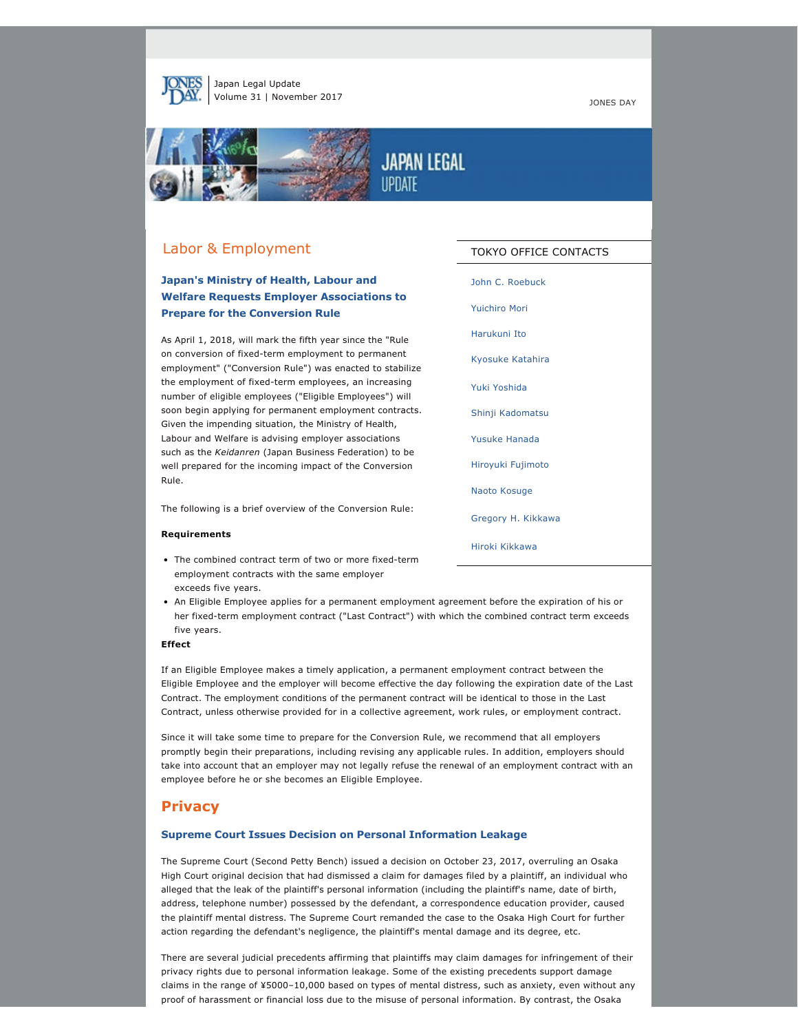

Japan Legal Update Volume 31 | November 2017 **JONES DAY** 



# **JAPAN LEGAL IIPNATE**

# Labor & Employment

## **Japan's Ministry of Health, Labour and Welfare Requests Employer Associations to Prepare for the Conversion Rule**

As April 1, 2018, will mark the fifth year since the "Rule on conversion of fixed-term employment to permanent employment" ("Conversion Rule") was enacted to stabilize the employment of fixed-term employees, an increasing number of eligible employees ("Eligible Employees") will soon begin applying for permanent employment contracts. Given the impending situation, the Ministry of Health, Labour and Welfare is advising employer associations such as the *Keidanren* (Japan Business Federation) to be well prepared for the incoming impact of the Conversion Rule.

The following is a brief overview of the Conversion Rule:

#### **Requirements**

- The combined contract term of two or more fixed-term employment contracts with the same employer exceeds five years.
- [John C. Roebuck](http://jonesday.com/jroebuck) [Yuichiro Mori](http://jonesday.com/ymori) [Harukuni Ito](http://www.jonesday.com/harukuniito) [Kyosuke Katahira](http://www.jonesday.com/kkatahira) [Yuki Yoshida](http://www.jonesday.com/yyoshida) [Shinji Kadomatsu](http://www.jonesday.com/skadomatsu) [Yusuke Hanada](http://www.jonesday.com/yhanada) [Hiroyuki Fujimoto](http://www.jonesday.com/hfujimoto) [Naoto Kosuge](http://jonesday.com/nkosuge) [Gregory H. Kikkawa](http://jonesday.com/gkikkawa) [Hiroki Kikkawa](http://jonesday.com/hkikkawa)

TOKYO OFFICE CONTACTS

• An Eligible Employee applies for a permanent employment agreement before the expiration of his or her fixed-term employment contract ("Last Contract") with which the combined contract term exceeds five years.

### **Effect**

If an Eligible Employee makes a timely application, a permanent employment contract between the Eligible Employee and the employer will become effective the day following the expiration date of the Last Contract. The employment conditions of the permanent contract will be identical to those in the Last Contract, unless otherwise provided for in a collective agreement, work rules, or employment contract.

Since it will take some time to prepare for the Conversion Rule, we recommend that all employers promptly begin their preparations, including revising any applicable rules. In addition, employers should take into account that an employer may not legally refuse the renewal of an employment contract with an employee before he or she becomes an Eligible Employee.

### **Privacy**

### **Supreme Court Issues Decision on Personal Information Leakage**

The Supreme Court (Second Petty Bench) issued a decision on October 23, 2017, overruling an Osaka High Court original decision that had dismissed a claim for damages filed by a plaintiff, an individual who alleged that the leak of the plaintiff's personal information (including the plaintiff's name, date of birth, address, telephone number) possessed by the defendant, a correspondence education provider, caused the plaintiff mental distress. The Supreme Court remanded the case to the Osaka High Court for further action regarding the defendant's negligence, the plaintiff's mental damage and its degree, etc.

There are several judicial precedents affirming that plaintiffs may claim damages for infringement of their privacy rights due to personal information leakage. Some of the existing precedents support damage claims in the range of ¥5000–10,000 based on types of mental distress, such as anxiety, even without any proof of harassment or financial loss due to the misuse of personal information. By contrast, the Osaka